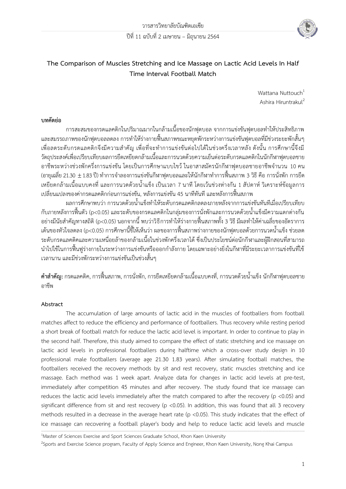

# **The Comparison of Muscles Stretching and Ice Massage on Lactic Acid Levels In Half Time Interval Football Match**

Wattana Nuttouch<sup>1</sup> Ashira Hiruntrakul<sup>2</sup>

# **บทคัดย่อ**

การสะสมของกรดแลคติกในปริมาณมากในกล้ามเนื้อของนักฟุตบอล จากการแข่งขันฟุตบอลทำให้ประสิทธิภาพ และสมรรถภาพของนักฟุตบอลลดลง การทำให้ร่างกายฟื้นสภาพขณะหยุดพักระหว่างการแข่งขันฟุตบอลที่มีช่วงระยะพักสั้นๆ เพื่อลดระดับกรดแลคติกจึงมีความสำคัญ เพื่อที่จะทำการแข่งขันต่อไปได้ในช่วงครึ่งเวลาหลัง ดังนั้น การศึกษานี้จึงมี วัตถุประสงค์เพื่อเปรียบเทียบผลการยืดเหยียดกล้ามเนื้อและการนวดด้วยความเย็นต่อระดับกรดแลคติกในนักกีฬาฟุตบอลชาย อาชีพระหว่างช่วงพักครึ่งการแข่งขัน โดยเป็นการศึกษาแบบไขว้ ในอาสาสมัครนักกีฬาฟุตบอลชายอาชีพจำนวน 10 คน (อายุเฉลี่ย 21.30  $\pm$  1.83 ปี) ทำการจำลองการแข่งขันกีฬาฟุตบอลและให้นักกีฬาทำการฟื้นสภาพ 3 วิธี คือ การนั่งพัก การยืด เหยียดกล้ามเนื้อแบบคงที่ และการนวดด้วยน้ำแข็ง เป็นเวลา 7 นาที โดยเว้นช่วงห่างกัน 1 สัปดาห์ วิเคราะห์ข้อมูลการ เปลี่ยนแปลงของค่ากรดแลคติกก่อนการแข่งขัน, หลังการแข่งขัน 45 นาทีทันที และหลังการฟื้นสภาพ

ผลการศึกษาพบว่า การนวดด้วยน้ำแข็งทำให้ระดับกรดแลคติกลดลงภายหลังจากการแข่งขันทันทีเมื่อเปรียบเทียบ กับภายหลังการฟื้นตัว (p<0.05) และระดับของกรดแลคติกในกลุ่มของการนั่งพักและการนวดด้วยน้ำแข็งมีความแตกต่างกัน ือย่างมีนัยสำคัญทางสถิติ (p<0.05) นอกจากนี้ พบว่าวิธีการทำให้ร่างกายฟื้นสภาพทั้ง 3 วิธี มีผลทำให้ค่าเฉลี่ยของอัตราการ ี เต้นของหัวใจลดลง (p<0.05) การศึกษานี้ชี้ให้เห็นว่า ผลของการฟื้นสภาพร่างกายของนักฟุตบอลด้วยการนวดน้ำแข็ง ช่วยลด ระดับกรดแลคติคและความเหนื่อยล้าของกล้ามเนื้อในช่วงพักครึ่งเวลาได้ ซึ่งเป็นประโยชน์ต่อนักกีฬาและผู้ฝึกสอนที่สามารถ ้ นำไปใช้ในการฟื้นฟูร่างกายในระหว่างการแข่งขันหรือออกกำลังกาย โดยเฉพาะอย่างยิ่งในกีฬาที่มีระยะเวลาการแข่งขันที่ใช้ เวลานาน และมีช่วงพักระหว่างการแข่งขันเป็นช่วงสั้นๆ

**ค ำส ำคัญ:**กรดแลคติค, การฟื้นสภาพ, การนั่งพัก, การยืดเหยียดกล้ามเนื้อแบบคงที่, การนวดด้วยน้ าแข็ง นักกีฬาฟุตบอลชาย อาชีพ

# **Abstract**

The accumulation of large amounts of lactic acid in the muscles of footballers from football matches affect to reduce the efficiency and performance of footballers. Thus recovery while resting period a short break of football match for reduce the lactic acid level is important. In order to continue to play in the second half. Therefore, this study aimed to compare the effect of static stretching and ice massage on lactic acid levels in professional footballers during halftime which a cross-over study design in 10 professional male footballers (average age 21.30 1.83 years). After simulating football matches, the footballers received the recovery methods by sit and rest recovery, static muscles stretching and ice massage. Each method was 1 week apart. Analyze data for changes in lactic acid levels at pre-test, immediately after competition 45 minutes and after recovery. The study found that ice massage can reduces the lactic acid levels immediately after the match compared to after the recovery (p <0.05) and significant difference from sit and rest recovery (p <0.05). In addition, this was found that all 3 recovery methods resulted in a decrease in the average heart rate (p <0.05). This study indicates that the effect of ice massage can recovering a football player's body and help to reduce lactic acid levels and muscle

 $\_$  , and the state of the state of the state of the state of the state of the state of the state of the state of the state of the state of the state of the state of the state of the state of the state of the state of the

<sup>1</sup>Master of Sciences Exercise and Sport Sciences Graduate School, Khon Kaen University

<sup>&</sup>lt;sup>2</sup>Sports and Exercise Science program, Faculty of Apply Science and Engineer, Khon Kaen University, Nong Khai Campus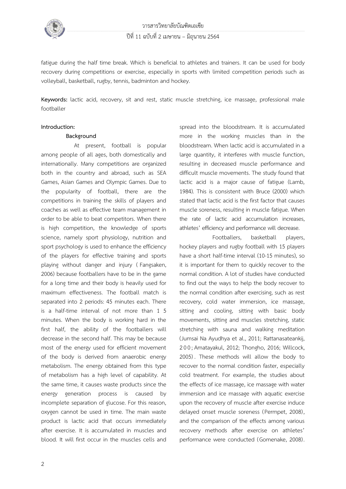

fatigue during the half time break. Which is beneficial to athletes and trainers. It can be used for body recovery during competitions or exercise, especially in sports with limited competition periods such as volleyball, basketball, rugby, tennis, badminton and hockey.

**Keywords:** lactic acid, recovery, sit and rest, static muscle stretching, ice massage, professional male footballer

#### **Introduction:**

#### **Background**

At present, football is popular among people of all ages, both domestically and internationally. Many competitions are organized both in the country and abroad, such as SEA Games, Asian Games and Olympic Games. Due to the popularity of football, there are the competitions in training the skills of players and coaches as well as effective team management in order to be able to beat competitors. When there is high competition, the knowledge of sports science, namely sport physiology, nutrition and sport psychology is used to enhance the efficiency of the players for effective training and sports playing without danger and injury ( Fangsaken, 2006) because footballers have to be in the game for a long time and their body is heavily used for maximum effectiveness. The football match is separated into 2 periods: 45 minutes each. There is a half-time interval of not more than 1 5 minutes. When the body is working hard in the first half, the ability of the footballers will decrease in the second half. This may be because most of the energy used for efficient movement of the body is derived from anaerobic energy metabolism. The energy obtained from this type of metabolism has a high level of capability. At the same time, it causes waste products since the energy generation process is caused by incomplete separation of glucose. For this reason, oxygen cannot be used in time. The main waste product is lactic acid that occurs immediately after exercise. It is accumulated in muscles and blood. It will first occur in the muscles cells and

spread into the bloodstream. It is accumulated more in the working muscles than in the bloodstream. When lactic acid is accumulated in a large quantity, it interferes with muscle function, resulting in decreased muscle performance and difficult muscle movements. The study found that lactic acid is a major cause of fatigue (Lamb, 1984). This is consistent with Bruce (2000) which stated that lactic acid is the first factor that causes muscle soreness, resulting in muscle fatigue. When the rate of lactic acid accumulation increases, athletes' efficiency and performance will decrease.

Footballers, basketball players, hockey players and rugby football with 15 players have a short half-time interval (10-15 minutes), so it is important for them to quickly recover to the normal condition. A lot of studies have conducted to find out the ways to help the body recover to the normal condition after exercising, such as rest recovery, cold water immersion, ice massage, sitting and cooling, sitting with basic body movements, sitting and muscles stretching, static stretching with sauna and walking meditation (Jumsai Na Ayudhya et al., 2011; Rattanasateankij, 200; Amatayakul, 2012; Thongho, 2016; Willcock, 2005) . These methods will allow the body to recover to the normal condition faster, especially cold treatment. For example, the studies about the effects of ice massage, ice massage with water immersion and ice massage with aquatic exercise upon the recovery of muscle after exercise induce delayed onset muscle soreness (Permpet, 2008), and the comparison of the effects among various recovery methods after exercise on athletes' performance were conducted (Gomenake, 2008).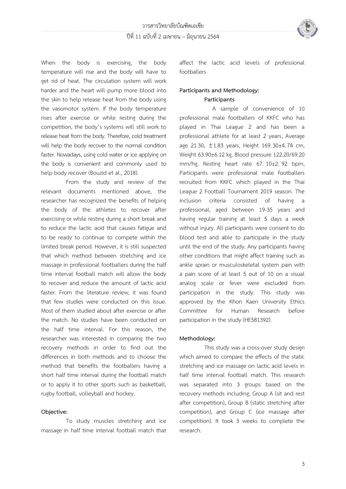

When the body is exercising, the body temperature will rise and the body will have to get rid of heat. The circulation system will work harder and the heart will pump more blood into the skin to help release heat from the body using the vasomotor system. If the body temperature rises after exercise or while resting during the competition, the body's systems will still work to release heat from the body. Therefore, cold treatment will help the body recover to the normal condition faster. Nowadays, using cold water or ice applying on the body is convenient and commonly used to help body recover (Bouzid et al., 2018).

From the study and review of the relevant documents mentioned above, the researcher has recognized the benefits of helping the body of the athletes to recover after exercising or while resting during a short break and to reduce the lactic acid that causes fatigue and to be ready to continue to compete within the limited break period. However, it is still suspected that which method between stretching and ice massage in professional footballers during the half time interval football match will allow the body to recover and reduce the amount of lactic acid faster. From the literature review, it was found that few studies were conducted on this issue. Most of them studied about after exercise or after the match. No studies have been conducted on the half time interval. For this reason, the researcher was interested in comparing the two recovery methods in order to find out the differences in both methods and to choose the method that benefits the footballers having a short half time interval during the football match or to apply it to other sports such as basketball, rugby football, volleyball and hockey.

# **Objective:**

To study muscles stretching and ice massage in half time interval football match that affect the lactic acid levels of professional footballers

# **Participants and Methodology: Participants**

A sample of convenience of 10 professional male footballers of KKFC who has played in Thai League 2 and has been a professional athlete for at least 2 years, Average age 21.30, ±1.83 years, Height 169.30±4.74 cm, Weight 63.90±6.12 kg, Blood pressure 122.20/69.20 mm/hg, Resting heart rate 67. 10±2. 92 bpm, Participants were professional male footballers recruited from KKFC which played in the Thai League 2 Football Tournament 2019 season. The inclusion criteria consisted of having a professional, aged between 19-35 years and having regular training at least 5 days a week without injury. All participants were consent to do blood test and able to participate in the study until the end of the study. Any participants having other conditions that might affect training such as ankle sprain or musculoskeletal system pain with a pain score of at least 5 out of 10 on a visual analog scale or fever were excluded from participation in the study. This study was approved by the Khon Kaen University Ethics Committee for Human Research before participation in the study (HE581392).

# **Methodology:**

This study was a cross-over study design which aimed to compare the effects of the static stretching and ice massage on lactic acid levels in half time interval football match. This research was separated into 3 groups based on the recovery methods including; Group A (sit and rest after competition), Group B (static stretching after competition), and Group C (ice massage after competition). It took 3 weeks to complete the research.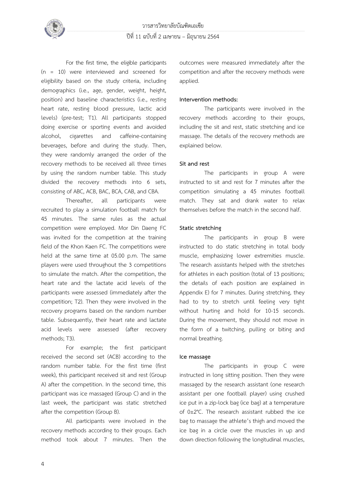

For the first time, the eligible participants (n = 10) were interviewed and screened for eligibility based on the study criteria, including demographics (i.e., age, gender, weight, height, position) and baseline characteristics (i.e., resting heart rate, resting blood pressure, lactic acid levels) (pre-test; T1). All participants stopped doing exercise or sporting events and avoided alcohol, cigarettes and caffeine-containing beverages, before and during the study. Then, they were randomly arranged the order of the recovery methods to be received all three times by using the random number table. This study divided the recovery methods into 6 sets, consisting of ABC, ACB, BAC, BCA, CAB, and CBA.

Thereafter, all participants were recruited to play a simulation football match for 45 minutes. The same rules as the actual competition were employed. Mor Din Daeng FC was invited for the competition at the training field of the Khon Kaen FC. The competitions were held at the same time at 05.00 p.m. The same players were used throughout the 3 competitions to simulate the match. After the competition, the heart rate and the lactate acid levels of the participants were assessed (immediately after the competition; T2). Then they were involved in the recovery programs based on the random number table. Subsequently, their heart rate and lactate acid levels were assessed (after recovery methods; T3).

For example; the first participant received the second set (ACB) according to the random number table. For the first time (first week), this participant received sit and rest (Group A) after the competition. In the second time, this participant was ice massaged (Group C) and in the last week, the participant was static stretched after the competition (Group B).

All participants were involved in the recovery methods according to their groups. Each method took about 7 minutes. Then the

outcomes were measured immediately after the competition and after the recovery methods were applied.

# **Intervention methods:**

The participants were involved in the recovery methods according to their groups, including the sit and rest, static stretching and ice massage. The details of the recovery methods are explained below.

#### **Sit and rest**

The participants in group A were instructed to sit and rest for 7 minutes after the competition simulating a 45 minutes football match. They sat and drank water to relax themselves before the match in the second half.

#### **Static stretching**

The participants in group B were instructed to do static stretching in total body muscle, emphasizing lower extremities muscle. The research assistants helped with the stretches for athletes in each position (total of 13 positions; the details of each position are explained in Appendix E) for 7 minutes. During stretching, they had to try to stretch until feeling very tight without hurting and hold for 10-15 seconds. During the movement, they should not move in the form of a twitching, pulling or biting and normal breathing.

#### **Ice massage**

The participants in group C were instructed in long sitting position. Then they were massaged by the research assistant (one research assistant per one football player) using crushed ice put in a zip-lock bag (ice bag) at a temperature of 0±2°C. The research assistant rubbed the ice bag to massage the athlete's thigh and moved the ice bag in a circle over the muscles in up and down direction following the longitudinal muscles,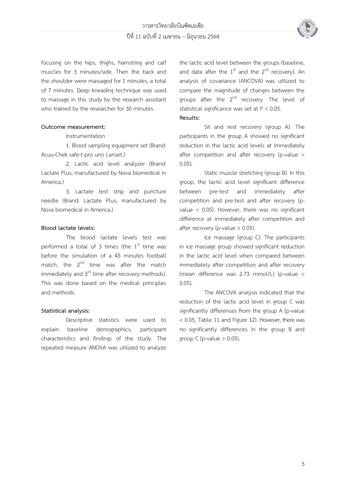

focusing on the hips, thighs, hamstring and calf muscles for 3 minutes/side. Then the back and the shoulder were massaged for 1 minutes, a total of 7 minutes. Deep kneading technique was used to massage in this study by the research assistant who trained by the researcher for 30 minutes.

# **Outcome measurement:**

Instrumentation

1. Blood sampling equipment set (Brand: Acuu-Chek safe-t-pro uno Lanset.)

2. Lactic acid level analyzer (Brand: Lactate Plus; manufactured by Nova biomedical in America.)

3. Lactate test strip and puncture needle (Brand: Lactate Plus; manufactured by Nova biomedical in America.)

# **Blood lactate levels:**

The blood lactate levels test was performed a total of 3 times (the  $1<sup>st</sup>$  time was before the simulation of a 45 minutes football match, the  $2^{nd}$  time was after the match immediately and 3<sup>rd</sup> time after recovery methods). This was done based on the medical principles and methods.

# **Statistical analysis:**

Descriptive statistics were used to explain baseline demographics, participant characteristics and findings of the study. The repeated measure ANOVA was utilized to analyze the lactic acid level between the groups (baseline, and data after the  $1^{st}$  and the  $2^{nd}$  recovery). An analysis of covariance (ANCOVA) was utilized to compare the magnitude of changes between the groups after the 2<sup>nd</sup> recovery. The level of statistical significance was set at P < 0.05.

# **Results:**

Sit and rest recovery (group A). The participants in the group A showed no significant reduction in the lactic acid levels at immediately after competition and after recovery (p-value > 0.05).

Static muscle stretching (group B). In this group, the lactic acid level significant difference between pre-test and immediately after competition and pre-test and after recovery (pvalue < 0.05). However, there was no significant difference at immediately after competition and after recovery (p-value  $> 0.05$ ).

Ice massage (group C). The participants in ice massage group showed significant reduction in the lactic acid level when compared between immediately after competition and after recovery (mean difference was 2.73 mmol/L) (p-value < 0.05).

The ANCOVA analysis indicated that the reduction of the lactic acid level in group C was significantly differences from the group A (p-value < 0.05, Table 11 and Figure 12). However, there was no significantly differences in the group B and group C (p-value  $> 0.05$ ).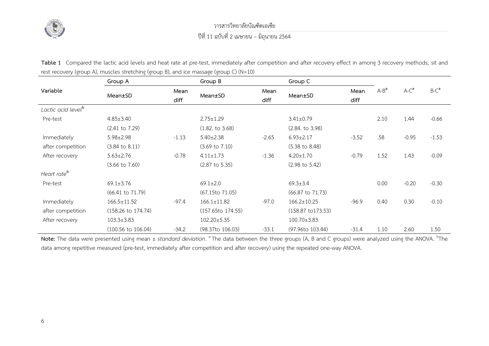

วารสารวิทยาลัยบัณฑิตเอเซีย

ปีที่ 11 ฉบับที่ 2 เมษายน – มิถุนายน 2564

Table 1 Compared the lactic acid levels and heat rate at pre-test, immediately after competition and after recovery effect in among 3 recovery methods; sit and rest recovery (group A), muscles stretching (group B), and ice massage (group C) (N=10)

|                                | Group A                       |              | Group B                       |              | Group C                       |              |         |         |         |
|--------------------------------|-------------------------------|--------------|-------------------------------|--------------|-------------------------------|--------------|---------|---------|---------|
| Variable                       | Mean±SD                       | Mean<br>diff | Mean±SD                       | Mean<br>diff | Mean±SD                       | Mean<br>diff | $A-B^a$ | $A-Ca$  | $B-Ca$  |
| Lactic acid level <sup>b</sup> |                               |              |                               |              |                               |              |         |         |         |
| Pre-test                       | $4.85 \pm 3.40$               |              | $2.75 \pm 1.29$               |              | $3.41 \pm 0.79$               |              | 2.10    | 1.44    | $-0.66$ |
|                                | $(2.41 \text{ to } 7.29)$     |              | (1.82. to 3.68)               |              | (2.84. to 3.98)               |              |         |         |         |
| Immediately                    | $5.98 \pm 2.98$               | $-1.13$      | $5.40 \pm 2.38$               | $-2.65$      | $6.93 \pm 2.17$               | $-3.52$      | .58     | $-0.95$ | $-1.53$ |
| after competition              | $(3.84 \text{ to } 8.11)$     |              | $(3.69 \text{ to } 7.10)$     |              | $(5.38 \text{ to } 8.48)$     |              |         |         |         |
| After recovery                 | $5.63 \pm 2.76$               | $-0.78$      | $4.11 \pm 1.73$               | $-1.36$      | $4.20 \pm 1.70$               | $-0.79$      | 1.52    | 1.43    | $-0.09$ |
|                                | $(3.66 \text{ to } 7.60)$     |              | $(2.87 \text{ to } 5.35)$     |              | $(2.98 \text{ to } 5.42)$     |              |         |         |         |
| Heart rate <sup>b</sup>        |                               |              |                               |              |                               |              |         |         |         |
| Pre-test                       | $69.1 \pm 3.76$               |              | $69.1 \pm 2.0$                |              | $69.3 \pm 3.4$                |              | 0.00    | $-0.20$ | $-0.30$ |
|                                | $(66.41 \text{ to } 71.79)$   |              | (67.15to 71.05)               |              | $(66.87 \text{ to } 71.73)$   |              |         |         |         |
| Immediately                    | $166.5 \pm 11.52$             | $-97.4$      | $166.1 \pm 11.82$             | -97.0        | $166.2 \pm 10.25$             | $-96.9$      | 0.40    | 0.30    | $-0.10$ |
| after competition              | $(158.26 \text{ to } 174.74)$ |              | (157.65 <sup>to</sup> 174.55) |              | $(158.87 \text{ to } 173.53)$ |              |         |         |         |
| After recovery                 | $103.3 \pm 3.83$              |              | $102.20 \pm 5.35$             |              | $100.70 \pm 3.83$             |              |         |         |         |
|                                | $(100.56 \text{ to } 106.04)$ | $-34.2$      | (98.37to 106.03)              | $-33.1$      | $(97.96$ to 103.44)           | $-31.4$      | 1.10    | 2.60    | 1.50    |

Note: The data were presented using mean ± *standard deviation*. <sup>a</sup> The data between the three groups (A, B and C groups) were analyzed using the ANOVA. <sup>b</sup>The data among repetitive measured (pre-test, immediately after competition and after recovery) using the repeated one-way ANOVA.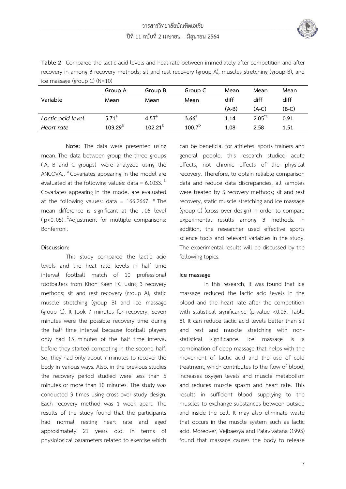

**Table 2** Compared the lactic acid levels and heat rate between immediately after competition and after recovery in among 3 recovery methods; sit and rest recovery (group A), muscles stretching (group B), and ice massage (group C) (N=10)

|                   | Group A           | Group B        |                    | Mean    | Mean               | Mean  |
|-------------------|-------------------|----------------|--------------------|---------|--------------------|-------|
| Variable          | Mean              | Mean           | Mean               | diff    | diff               | diff  |
|                   |                   |                |                    | $(A-B)$ | (A-C)              | (B-C) |
| Lactic acid level | 5.71 <sup>a</sup> | $4.57^{\circ}$ | 3.66 <sup>a</sup>  | 1.14    | $2.05^{\text{*C}}$ | 0.91  |
| Heart rate        | $103.29^{b}$      | $102.21^{b}$   | 100.7 <sup>b</sup> | 1.08    | 2.58               | 1.51  |

**Note:** The data were presented using mean.The data between group the three groups ( A, B and C groups) were analyzed using the  $ANCOVA.,$   $\textsuperscript{a}$  Covariates appearing in the model are evaluated at the following values: data =  $6.1033$ .  $<sup>b</sup>$ </sup> Covariates appearing in the model are evaluated at the following values: data =  $166.2667$ . \* The mean difference is significant at the .05 level  $(p<0.05)$ . <sup>C</sup>Adjustment for multiple comparisons: Bonferroni.

# **Discussion:**

This study compared the lactic acid levels and the heat rate levels in half time interval football match of 10 professional footballers from Khon Kaen FC using 3 recovery methods; sit and rest recovery (group A), static muscle stretching (group B) and ice massage (group C). It took 7 minutes for recovery. Seven minutes were the possible recovery time during the half time interval because football players only had 15 minutes of the half time interval before they started competing in the second half. So, they had only about 7 minutes to recover the body in various ways. Also, in the previous studies the recovery period studied were less than 5 minutes or more than 10 minutes. The study was conducted 3 times using cross-over study design. Each recovery method was 1 week apart. The results of the study found that the participants had normal resting heart rate and aged approximately 21 years old. In terms of physiological parameters related to exercise which

can be beneficial for athletes, sports trainers and general people, this research studied acute effects, not chronic effects of the physical recovery. Therefore, to obtain reliable comparison data and reduce data discrepancies, all samples were treated by 3 recovery methods; sit and rest recovery, static muscle stretching and ice massage (group C) (cross over design) in order to compare experimental results among 3 methods. In addition, the researcher used effective sports science tools and relevant variables in the study. The experimental results will be discussed by the following topics.

# **Ice massage**

In this research, it was found that ice massage reduced the lactic acid levels in the blood and the heart rate after the competition with statistical significance (p-value <0.05, Table 8). It can reduce lactic acid levels better than sit and rest and muscle stretching with nonstatistical significance. Ice massage is a combination of deep massage that helps with the movement of lactic acid and the use of cold treatment, which contributes to the flow of blood, increases oxygen levels and muscle metabolism and reduces muscle spasm and heart rate. This results in sufficient blood supplying to the muscles to exchange substances between outside and inside the cell. It may also eliminate waste that occurs in the muscle system such as lactic acid. Moreover, Vejbaesya and Palavivatana (1993) found that massage causes the body to release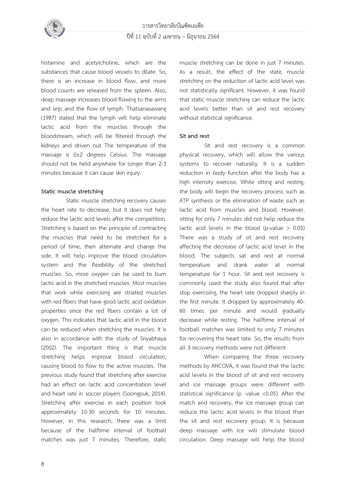

histamine and acetylcholine, which are the substances that cause blood vessels to dilate. So, there is an increase in blood flow, and more blood counts are released from the spleen. Also, deep massage increases blood flowing to the arms and legs and the flow of lymph. Thatsanasawang (1987) stated that the lymph will help eliminate lactic acid from the muscles through the bloodstream, which will be filtered through the kidneys and driven out The temperature of the massage is 0±2 degrees Celsius. The massage should not be held anywhere for longer than 2-3 minutes because it can cause skin injury.

#### **Static muscle stretching**

Static muscle stretching recovery causes the heart rate to decrease, but it does not help reduce the lactic acid levels after the competition. Stretching is based on the principle of contracting the muscles that need to be stretched for a period of time, then alternate and change the side. It will help improve the blood circulation system and the flexibility of the stretched muscles. So, more oxygen can be used to burn lactic acid in the stretched muscles. Most muscles that work while exercising are striated muscles with red fibers that have good lactic acid oxidation properties since the red fibers contain a lot of oxygen. This indicates that lactic acid in the blood can be reduced when stretching the muscles. It is also in accordance with the study of Sriyabhaya (2002). The important thing is that muscle stretching helps improve blood circulation, causing blood to flow to the active muscles. The previous study found that stretching after exercise had an effect on lactic acid concentration level and heart rate in soccer players (Soongpuk, 2014). Stretching after exercise in each position took approximately 10-30 seconds for 10 minutes. However, in this research, there was a limit because of the halftime interval of football matches was just 7 minutes. Therefore, static

muscle stretching can be done in just 7 minutes. As a result, the effect of the static muscle stretching on the reduction of lactic acid level was not statistically significant. However, it was found that static muscle stretching can reduce the lactic acid levels better than sit and rest recovery without statistical significance.

# **Sit and rest**

Sit and rest recovery is a common physical recovery, which will allow the various systems to recover naturally. It is a sudden reduction in body function after the body has a high intensity exercise. While sitting and resting, the body will begin the recovery process such as ATP synthesis or the elimination of waste such as lactic acid from muscles and blood. However, sitting for only 7 minutes did not help reduce the lactic acid levels in the blood (p-value  $> 0.05$ ) There was a study of sit and rest recovery affecting the decrease of lactic acid level in the blood. The subjects sat and rest at normal temperature and drank water at normal temperature for 1 hour. Sit and rest recovery is commonly used the study also found that after stop exercising, the heart rate dropped sharply in the first minute. It dropped by approximately 40- 60 times per minute and would gradually decrease while resting. The halftime interval of football matches was limited to only 7 minutes for recovering the heart rate. So, the results from all 3 recovery methods were not different

When comparing the three recovery methods by ANCOVA, it was found that the lactic acid levels in the blood of sit and rest recovery and ice massage groups were different with statistical significance (p -value <0.05). After the match and recovery, the ice massage group can reduce the lactic acid levels in the blood than the sit and rest recovery group. It is because deep massage with ice will stimulate blood circulation. Deep massage will help the blood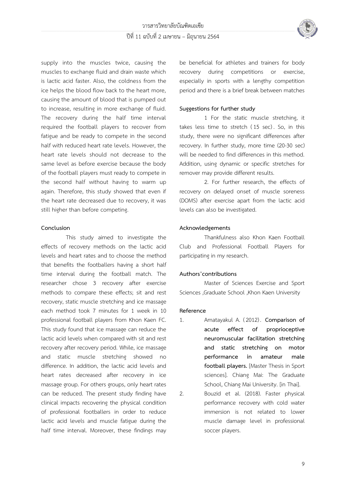

supply into the muscles twice, causing the muscles to exchange fluid and drain waste which is lactic acid faster. Also, the coldness from the ice helps the blood flow back to the heart more, causing the amount of blood that is pumped out to increase, resulting in more exchange of fluid. The recovery during the half time interval required the football players to recover from fatigue and be ready to compete in the second half with reduced heart rate levels. However, the heart rate levels should not decrease to the same level as before exercise because the body of the football players must ready to compete in the second half without having to warm up again. Therefore, this study showed that even if the heart rate decreased due to recovery, it was still higher than before competing.

#### **Conclusion**

This study aimed to investigate the effects of recovery methods on the lactic acid levels and heart rates and to choose the method that benefits the footballers having a short half time interval during the football match. The researcher chose 3 recovery after exercise methods to compare these effects; sit and rest recovery, static muscle stretching and ice massage each method took 7 minutes for 1 week in 10 professional football players from Khon Kaen FC. This study found that ice massage can reduce the lactic acid levels when compared with sit and rest recovery after recovery period. While, ice massage and static muscle stretching showed no difference. In addition, the lactic acid levels and heart rates decreased after recovery in ice massage group. For others groups, only heart rates can be reduced. The present study finding have clinical impacts recovering the physical condition of professional footballers in order to reduce lactic acid levels and muscle fatigue during the half time interval. Moreover, these findings may

be beneficial for athletes and trainers for body recovery during competitions or exercise, especially in sports with a lengthy competition period and there is a brief break between matches

# **Suggestions for further study**

1 For the static muscle stretching, it takes less time to stretch (15 sec). So, in this study, there were no significant differences after recovery. In further study, more time (20-30 sec) will be needed to find differences in this method. Addition, using dynamic or specific stretches for remover may provide different results.

2. For further research, the effects of recovery on delayed onset of muscle soreness (DOMS) after exercise apart from the lactic acid levels can also be investigated.

# **Acknowledgements**

Thankfulness also Khon Kaen Football Club and Professional Football Players for participating in my research.

# **Authors'contributions**

Master of Sciences Exercise and Sport Sciences ,Graduate School ,Khon Kaen University

# **Reference**

1. Amatayakul A. (2012) . **Comparison of acute effect of proprioceptive neuromuscular facilitation stretching and static stretching on motor performance in amateur male football players.** [Master Thesis in Sport sciences]. Chiang Mai: The Graduate School, Chiang Mai University. [in Thai].

2. Bouzid et al. (2018). Faster physical performance recovery with cold water immersion is not related to lower muscle damage level in professional soccer players.